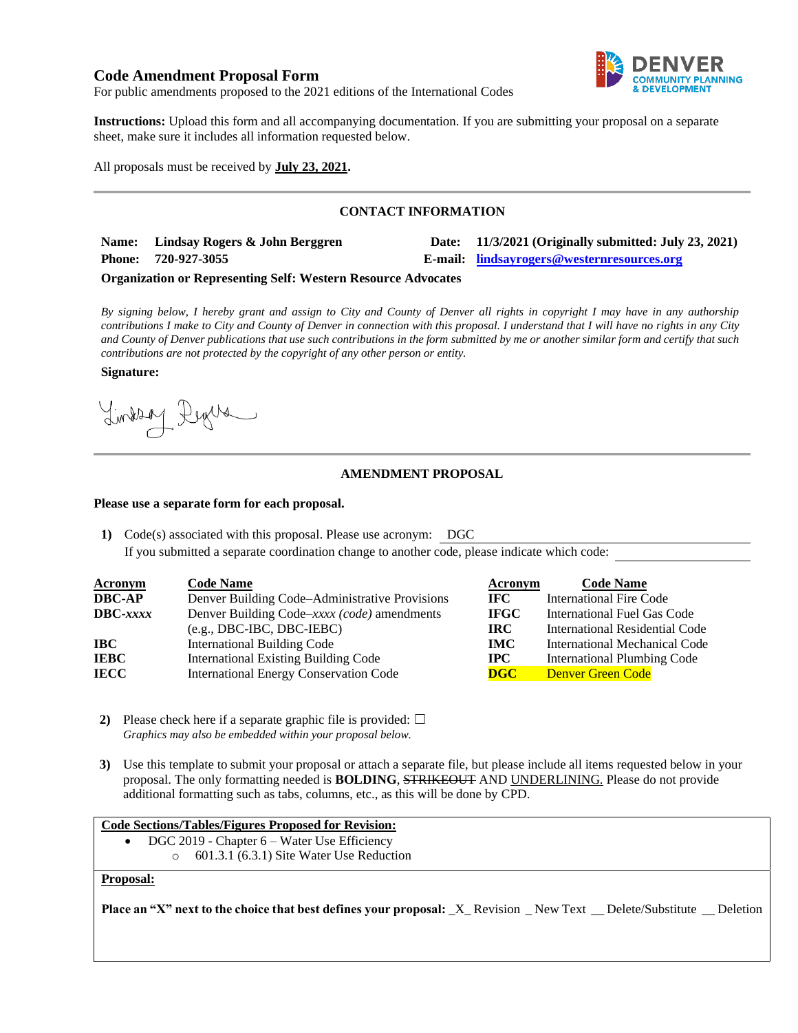# **Code Amendment Proposal Form**



For public amendments proposed to the 2021 editions of the International Codes

**Instructions:** Upload this form and all accompanying documentation. If you are submitting your proposal on a separate sheet, make sure it includes all information requested below.

All proposals must be received by **July 23, 2021.**

## **CONTACT INFORMATION**

| Name: Lindsay Rogers & John Berggren | Date: 11/3/2021 (Originally submitted: July 23, 2021) |
|--------------------------------------|-------------------------------------------------------|
| Phone: 720-927-3055                  | E-mail: <u>lindsayrogers@westernresources.org</u>     |
|                                      |                                                       |

#### **Organization or Representing Self: Western Resource Advocates**

*By signing below, I hereby grant and assign to City and County of Denver all rights in copyright I may have in any authorship contributions I make to City and County of Denver in connection with this proposal. I understand that I will have no rights in any City and County of Denver publications that use such contributions in the form submitted by me or another similar form and certify that such contributions are not protected by the copyright of any other person or entity.* 

#### **Signature:**

Lindson Degree

# **AMENDMENT PROPOSAL**

## **Please use a separate form for each proposal.**

**1)** Code(s) associated with this proposal. Please use acronym: DGC If you submitted a separate coordination change to another code, please indicate which code:

| <b>Acronym</b>  | <b>Code Name</b>                               | Acronym     | <b>Code Name</b>                   |
|-----------------|------------------------------------------------|-------------|------------------------------------|
| DBC-AP          | Denver Building Code–Administrative Provisions | IFC.        | <b>International Fire Code</b>     |
| <b>DBC-xxxx</b> | Denver Building Code-xxxx (code) amendments    | <b>IFGC</b> | International Fuel Gas Code        |
|                 | $(e.g., DBC-IBC, DBC-IEBC)$                    | IRC.        | International Residential Code     |
| IBC             | <b>International Building Code</b>             | <b>IMC</b>  | International Mechanical Code      |
| IEBC            | <b>International Existing Building Code</b>    | $\bf IPC$   | <b>International Plumbing Code</b> |
| IECC            | <b>International Energy Conservation Code</b>  | DGC         | Denver Green Code                  |

- **2)** Please check here if a separate graphic file is provided:  $\Box$ *Graphics may also be embedded within your proposal below.*
- **3)** Use this template to submit your proposal or attach a separate file, but please include all items requested below in your proposal. The only formatting needed is **BOLDING**, STRIKEOUT AND UNDERLINING. Please do not provide additional formatting such as tabs, columns, etc., as this will be done by CPD.

#### **Code Sections/Tables/Figures Proposed for Revision:**

- DGC 2019 Chapter  $6 -$  Water Use Efficiency
	- o 601.3.1 (6.3.1) Site Water Use Reduction

## **Proposal:**

**Place an "X" next to the choice that best defines your proposal:**  $X$  Revision \_ New Text \_ Delete/Substitute \_ Deletion